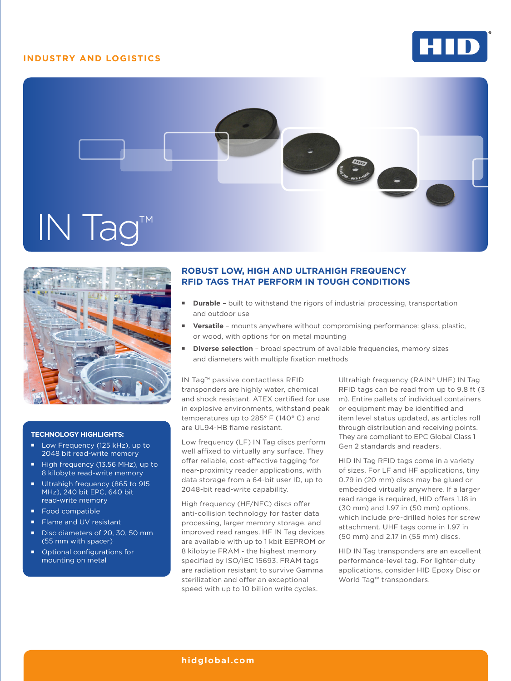## **INDUSTRY AND LOGISTICS**







### **TECHNOLOGY HIGHLIGHTS:**

- Low Frequency (125 kHz), up to 2048 bit read-write memory
- High frequency (13.56 MHz), up to 8 kilobyte read-write memory
- Ultrahigh frequency (865 to 915 MHz), 240 bit EPC, 640 bit read-write memory
- Food compatible
- Flame and UV resistant
- Disc diameters of 20, 30, 50 mm (55 mm with spacer)
- Optional configurations for mounting on metal

## **ROBUST LOW, HIGH AND ULTRAHIGH FREQUENCY RFID TAGS THAT PERFORM IN TOUGH CONDITIONS**

- **Durable**  built to withstand the rigors of industrial processing, transportation and outdoor use
- **Versatile**  mounts anywhere without compromising performance: glass, plastic, or wood, with options for on metal mounting
- **Diverse selection**  broad spectrum of available frequencies, memory sizes and diameters with multiple fixation methods

IN Tag™ passive contactless RFID transponders are highly water, chemical and shock resistant, ATEX certified for use in explosive environments, withstand peak temperatures up to 285° F (140° C) and are UL94-HB flame resistant.

Low frequency (LF) IN Tag discs perform well affixed to virtually any surface. They offer reliable, cost-effective tagging for near-proximity reader applications, with data storage from a 64-bit user ID, up to 2048-bit read-write capability.

High frequency (HF/NFC) discs offer anti-collision technology for faster data processing, larger memory storage, and improved read ranges. HF IN Tag devices are available with up to 1 kbit EEPROM or 8 kilobyte FRAM - the highest memory specified by ISO/IEC 15693. FRAM tags are radiation resistant to survive Gamma sterilization and offer an exceptional speed with up to 10 billion write cycles.

Ultrahigh frequency (RAIN® UHF) IN Tag RFID tags can be read from up to 9.8 ft (3 m). Entire pallets of individual containers or equipment may be identified and item level status updated, as articles roll through distribution and receiving points. They are compliant to EPC Global Class 1 Gen 2 standards and readers.

HID IN Tag RFID tags come in a variety of sizes. For LF and HF applications, tiny 0.79 in (20 mm) discs may be glued or embedded virtually anywhere. If a larger read range is required, HID offers 1.18 in (30 mm) and 1.97 in (50 mm) options, which include pre-drilled holes for screw attachment. UHF tags come in 1.97 in (50 mm) and 2.17 in (55 mm) discs.

HID IN Tag transponders are an excellent performance-level tag. For lighter-duty applications, consider HID Epoxy Disc or World Tag™ transponders.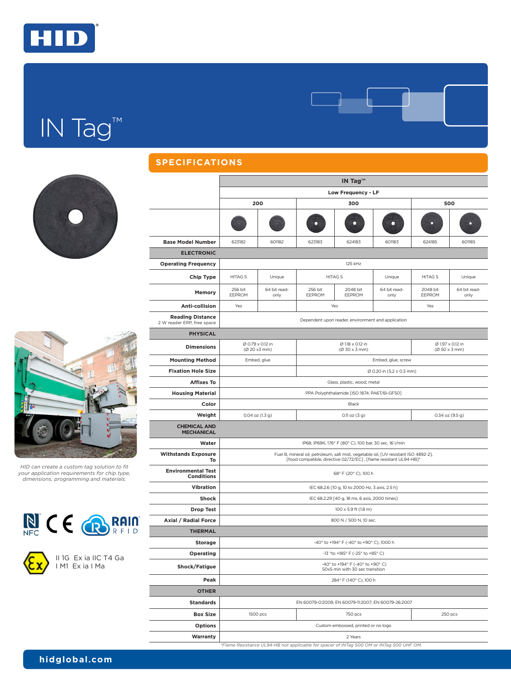

# IN Tag™





*HID can create a custom tag solution to fit your application requirements for chip type, dimensions, programming and materials.*



II 1G Ex ia IIC T4 Ga I M1 Ex ia I Ma

| <b>SPECIFICATIONS</b>                                 |                                                                                                                                                           |                                  |                   |                                   |                                                     |                    |                      |  |  |
|-------------------------------------------------------|-----------------------------------------------------------------------------------------------------------------------------------------------------------|----------------------------------|-------------------|-----------------------------------|-----------------------------------------------------|--------------------|----------------------|--|--|
|                                                       | IN Tag™                                                                                                                                                   |                                  |                   |                                   |                                                     |                    |                      |  |  |
|                                                       | Low Frequency - LF                                                                                                                                        |                                  |                   |                                   |                                                     |                    |                      |  |  |
|                                                       |                                                                                                                                                           | 200                              |                   | 300                               | 500                                                 |                    |                      |  |  |
|                                                       |                                                                                                                                                           |                                  |                   |                                   |                                                     |                    |                      |  |  |
| <b>Base Model Number</b>                              | 623182                                                                                                                                                    | 601182                           | 623183            | 624183                            | 601183                                              | 624185             | 601185               |  |  |
| <b>ELECTRONIC</b>                                     |                                                                                                                                                           |                                  |                   |                                   |                                                     |                    |                      |  |  |
| <b>Operating Frequency</b>                            | 125 kHz                                                                                                                                                   |                                  |                   |                                   |                                                     |                    |                      |  |  |
| Chip Type                                             | <b>HITAG S</b>                                                                                                                                            | Unique                           |                   | <b>HITAG S</b>                    | Unique                                              | <b>HITAG S</b>     | Unique               |  |  |
| Memory                                                | 256 bit<br>EEPROM                                                                                                                                         | 64 bit read-<br>only             | 256 bit<br>EEPROM | 2048 bit<br>EEPROM                | 64 bit read-<br>only                                | 2048 bit<br>EEPROM | 64 bit read-<br>only |  |  |
| Anti-collision                                        | Yes                                                                                                                                                       |                                  |                   | Yes                               |                                                     | Yes                |                      |  |  |
| <b>Reading Distance</b><br>2 W reader ERP, free space | Dependent upon reader, environment and application                                                                                                        |                                  |                   |                                   |                                                     |                    |                      |  |  |
| <b>PHYSICAL</b>                                       |                                                                                                                                                           |                                  |                   |                                   |                                                     |                    |                      |  |  |
| <b>Dimensions</b>                                     |                                                                                                                                                           | Ø 0.79 x 0.12 in<br>(Ø 20 x3 mm) |                   | Ø 1.18 x 0.12 in<br>(Ø 30 x 3 mm) | Ø 1.97 x 0.12 in<br>(Ø 50 x 3 mm)                   |                    |                      |  |  |
| <b>Mounting Method</b>                                |                                                                                                                                                           | Embed, glue                      |                   |                                   | Embed, glue, screw                                  |                    |                      |  |  |
| <b>Fixation Hole Size</b>                             | Ø 0.20 in (5.2 ± 0.3 mm)                                                                                                                                  |                                  |                   |                                   |                                                     |                    |                      |  |  |
| <b>Affixes To</b>                                     | Glass, plastic, wood, metal                                                                                                                               |                                  |                   |                                   |                                                     |                    |                      |  |  |
| <b>Housing Material</b>                               | PPA Polyphthalamide [ISO 1874: PA6T/6I-GF50]                                                                                                              |                                  |                   |                                   |                                                     |                    |                      |  |  |
| Color                                                 | Black                                                                                                                                                     |                                  |                   |                                   |                                                     |                    |                      |  |  |
| Weight                                                |                                                                                                                                                           | $0.04$ oz $(1.3 g)$              |                   | $0.11$ oz $(3 g)$                 | $0.34$ oz $(9.5 g)$                                 |                    |                      |  |  |
| <b>CHEMICAL AND</b><br><b>MECHANICAL</b>              |                                                                                                                                                           |                                  |                   |                                   |                                                     |                    |                      |  |  |
| Water                                                 | IP68, IP69K, 176° F (80° C), 100 bar, 30 sec. 16 l/min                                                                                                    |                                  |                   |                                   |                                                     |                    |                      |  |  |
| <b>Withstands Exposure</b><br>То                      | Fuel B, mineral oil, petroleum, salt mist, vegetable oil, [UV resistant ISO 4892-2],<br>[food compatible, directive 02/72/EC], [flame resistant UL94-HB]* |                                  |                   |                                   |                                                     |                    |                      |  |  |
| <b>Environmental Test</b><br><b>Conditions</b>        | 68° F (20° C), 100 h                                                                                                                                      |                                  |                   |                                   |                                                     |                    |                      |  |  |
| <b>Vibration</b>                                      | IEC 68.2.6 [10 g, 10 to 2000 Hz, 3 axis, 2.5 h]                                                                                                           |                                  |                   |                                   |                                                     |                    |                      |  |  |
| <b>Shock</b>                                          | IEC 68.2.29 [40 g, 18 ms, 6 axis, 2000 times]                                                                                                             |                                  |                   |                                   |                                                     |                    |                      |  |  |
| <b>Drop Test</b>                                      | 100 x 5.9 ft (1.8 m)                                                                                                                                      |                                  |                   |                                   |                                                     |                    |                      |  |  |
| Axial / Radial Force                                  | 800 N / 500 N, 10 sec.                                                                                                                                    |                                  |                   |                                   |                                                     |                    |                      |  |  |
| <b>THERMAL</b>                                        |                                                                                                                                                           |                                  |                   |                                   |                                                     |                    |                      |  |  |
| <b>Storage</b>                                        | -40° to +194° F (-40° to +90° C), 1000 h                                                                                                                  |                                  |                   |                                   |                                                     |                    |                      |  |  |
| Operating                                             | -13 °to +185° F (-25° to +85° C)                                                                                                                          |                                  |                   |                                   |                                                     |                    |                      |  |  |
| Shock/Fatigue                                         | -40° to +194° F (-40° to +90° C)<br>50x5 min with 30 sec transition                                                                                       |                                  |                   |                                   |                                                     |                    |                      |  |  |
| Peak                                                  | 284° F (140° C), 100 h                                                                                                                                    |                                  |                   |                                   |                                                     |                    |                      |  |  |
| <b>OTHER</b>                                          |                                                                                                                                                           |                                  |                   |                                   |                                                     |                    |                      |  |  |
| <b>Standards</b>                                      |                                                                                                                                                           |                                  |                   |                                   | EN 60079-0:2009; EN 60079-11:2007; EN 60079-26:2007 |                    |                      |  |  |
| <b>Box Size</b>                                       |                                                                                                                                                           | 1500 pcs                         |                   | 750 pcs                           | 250 pcs                                             |                    |                      |  |  |
| <b>Options</b>                                        | Custom embossed, printed or no logo                                                                                                                       |                                  |                   |                                   |                                                     |                    |                      |  |  |
| Warranty                                              | 2 Years                                                                                                                                                   |                                  |                   |                                   |                                                     |                    |                      |  |  |

*\*Flame Resistance UL94-HB not applicable for spacer of INTag 500 OM or INTag 500 UHF OM.*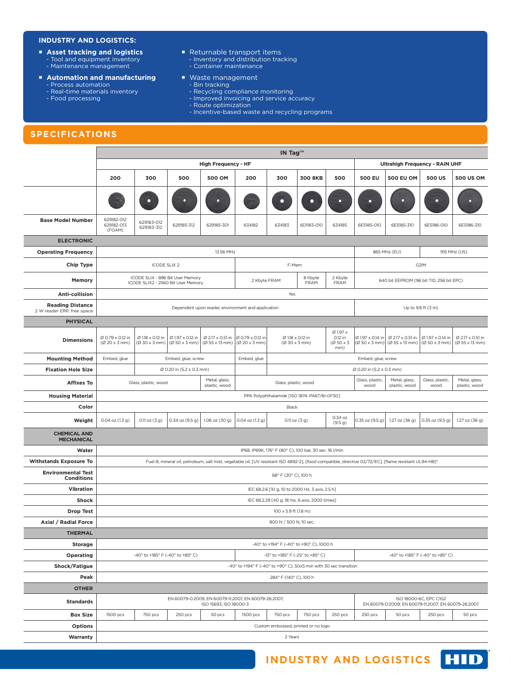### **INDUSTRY AND LOGISTICS:**

- **Asset tracking and logistics**<br>Tool and equipment inventory
- Maintenance management
- 
- **Automation and manufacturing**
	- Process automation
	- Real-time materials inventory - Food processing
	-
- Returnable transport items - Inventory and distribution tracking - Container maintenance
- **Naste management** 
	- Bin tracking
	- Recycling compliance monitoring
	- Improved invoicing and service accuracy
	- Route optimization
	- Incentive-based waste and recycling programs

## **SPECIFICATIONS**

|                                                       | IN Tag <sup>TM</sup>                                                                                                                                   |                                                                        |                                   |                |                                                                            |                                                           |                    |                                                 |                                                                               |                                                       |                                |                                    |  |
|-------------------------------------------------------|--------------------------------------------------------------------------------------------------------------------------------------------------------|------------------------------------------------------------------------|-----------------------------------|----------------|----------------------------------------------------------------------------|-----------------------------------------------------------|--------------------|-------------------------------------------------|-------------------------------------------------------------------------------|-------------------------------------------------------|--------------------------------|------------------------------------|--|
|                                                       | <b>High Frequency - HF</b>                                                                                                                             |                                                                        |                                   |                |                                                                            |                                                           |                    |                                                 | <b>Ultrahigh Frequency - RAIN UHF</b>                                         |                                                       |                                |                                    |  |
|                                                       | 200                                                                                                                                                    | 300                                                                    | 500                               | <b>500 OM</b>  | 200                                                                        | 300                                                       | <b>300 8KB</b>     | 500                                             | <b>500 EU</b>                                                                 | <b>500 EU OM</b>                                      | <b>500 US</b>                  | <b>500 US OM</b>                   |  |
|                                                       |                                                                                                                                                        |                                                                        |                                   |                |                                                                            |                                                           | ∩                  |                                                 |                                                                               |                                                       |                                |                                    |  |
| <b>Base Model Number</b>                              | 629182-012<br>629182-013<br>(FOAM)                                                                                                                     | 629183-012<br>629183-312                                               | 629185-312                        | 629185-301     | 634182                                                                     | 634183                                                    | 6D1183-010         | 634185                                          | 6E5185-010                                                                    | 6E5185-310                                            | 6E5186-010                     | 6E5186-310                         |  |
| <b>ELECTRONIC</b>                                     |                                                                                                                                                        |                                                                        |                                   |                |                                                                            |                                                           |                    |                                                 |                                                                               |                                                       |                                |                                    |  |
| <b>Operating Frequency</b>                            |                                                                                                                                                        | 13.56 MHz                                                              |                                   |                |                                                                            |                                                           |                    |                                                 | 865 MHz (EU)<br>915 MHz (US)                                                  |                                                       |                                |                                    |  |
| <b>Chip Type</b>                                      |                                                                                                                                                        | <b>ICODE SLIX 2</b>                                                    |                                   |                |                                                                            | F-Mem                                                     |                    |                                                 | G2IM                                                                          |                                                       |                                |                                    |  |
| Memory                                                |                                                                                                                                                        | ICODE SLIX - 896 Bit User Memory<br>ICODE SLIX2 - 2560 Bit User Memory |                                   |                |                                                                            | 8 Kbyte<br>2 Kbyte<br>2 Kbyte FRAM<br>FRAM<br><b>FRAM</b> |                    |                                                 | 640 bit EEPROM (96 bit TID, 256 bit EPC)                                      |                                                       |                                |                                    |  |
| Anti-collision                                        |                                                                                                                                                        |                                                                        |                                   |                |                                                                            | Yes                                                       |                    |                                                 |                                                                               |                                                       |                                |                                    |  |
| <b>Reading Distance</b><br>2 W reader ERP, free space | Dependent upon reader, environment and application                                                                                                     |                                                                        |                                   |                |                                                                            |                                                           |                    |                                                 | Up to 9.8 ft (3 m)                                                            |                                                       |                                |                                    |  |
| <b>PHYSICAL</b>                                       |                                                                                                                                                        |                                                                        |                                   |                |                                                                            |                                                           |                    |                                                 |                                                                               |                                                       |                                |                                    |  |
| <b>Dimensions</b>                                     | Ø 0.79 x 0.12 in<br>(Ø 20 x 3 mm)                                                                                                                      | Ø 1.18 x 0.12 in<br>(Ø 30 x 3 mm)                                      | Ø 1.97 x 0.12 in<br>(Ø 50 x 3 mm) | (Ø 55 x 13 mm) | Ø 2.17 x 0.51 in  Ø 0.79 x 0.12 in<br>$(\emptyset 20 \times 3 \text{ mm})$ | Ø 1.18 x 0.12 in<br>(Ø 30 x 3 mm)                         |                    | Ø 1.97 x<br>0.12 in<br>$(0.50 \times 3)$<br>mm) | $\varnothing$ 1.97 x 0.14 in<br>$(\emptyset$ 50 x 3 mm)                       | Ø 2.17 x 0.51 in   Ø 1.97 x 0.14 in<br>(Ø 55 x 13 mm) | $(\emptyset$ 50 x 3 mm)        | Ø 2.17 x 0.51 in<br>(Ø 55 x 13 mm) |  |
| <b>Mounting Method</b>                                | Embed, glue                                                                                                                                            | Embed, glue, screw                                                     |                                   |                |                                                                            |                                                           | Embed, glue, screw |                                                 |                                                                               |                                                       |                                |                                    |  |
| <b>Fixation Hole Size</b>                             | Ø 0.20 in (5.2 ± 0.3 mm)                                                                                                                               |                                                                        |                                   |                |                                                                            | Ø 0.20 in (5.2 ± 0.3 mm)                                  |                    |                                                 |                                                                               |                                                       |                                |                                    |  |
| <b>Affixes To</b>                                     |                                                                                                                                                        | Metal, glass,<br>Glass, plastic, wood<br>plastic, wood                 |                                   |                | Glass, plastic, wood                                                       |                                                           |                    | Glass, plastic,<br>wood                         | Metal, glass,<br>plastic, wood                                                | Glass, plastic,<br>wood                               | Metal, glass,<br>plastic, wood |                                    |  |
| <b>Housing Material</b>                               | PPA Polyphthalamide [ISO 1874: PA6T/6I-GF50]                                                                                                           |                                                                        |                                   |                |                                                                            |                                                           |                    |                                                 |                                                                               |                                                       |                                |                                    |  |
| Color                                                 |                                                                                                                                                        |                                                                        |                                   |                |                                                                            | Black                                                     |                    |                                                 |                                                                               |                                                       |                                |                                    |  |
| Weight                                                | 0.04 oz (1.3 g)                                                                                                                                        | $0.11$ oz $(3 g)$                                                      | 0.34 oz (9.5 g)                   | 1.06 oz (30 g) | 0.04 oz (1.3 g)                                                            | $0.11$ oz $(3 g)$                                         |                    | 0.34 oz<br>(9.5 g)                              | $0.35$ oz $(9.5 g)$                                                           | 1.27 oz (36 g)                                        | 0.35 oz (9.5 g)                | 1.27 oz (36 g)                     |  |
| <b>CHEMICAL AND</b><br><b>MECHANICAL</b>              |                                                                                                                                                        |                                                                        |                                   |                |                                                                            |                                                           |                    |                                                 |                                                                               |                                                       |                                |                                    |  |
| Water                                                 |                                                                                                                                                        |                                                                        |                                   |                |                                                                            | IP68, IP69K, 176° F (80° C), 100 bar, 30 sec. 16 l/min    |                    |                                                 |                                                                               |                                                       |                                |                                    |  |
| <b>Withstands Exposure To</b>                         | Fuel B, mineral oil, petroleum, salt mist, vegetable oil, [UV resistant ISO 4892-2], [food compatible, directive 02/72/EC], [flame resistant UL94-HB]* |                                                                        |                                   |                |                                                                            |                                                           |                    |                                                 |                                                                               |                                                       |                                |                                    |  |
| <b>Environmental Test</b><br><b>Conditions</b>        |                                                                                                                                                        | 68° F (20° C), 100 h                                                   |                                   |                |                                                                            |                                                           |                    |                                                 |                                                                               |                                                       |                                |                                    |  |
| Vibration                                             |                                                                                                                                                        | IEC 68.2.6 [10 g, 10 to 2000 Hz, 3 axis, 2.5 h]                        |                                   |                |                                                                            |                                                           |                    |                                                 |                                                                               |                                                       |                                |                                    |  |
| Shock                                                 | IEC 68.2.29 [40 g, 18 ms, 6 axis, 2000 times]                                                                                                          |                                                                        |                                   |                |                                                                            |                                                           |                    |                                                 |                                                                               |                                                       |                                |                                    |  |
| <b>Drop Test</b>                                      | 100 x 5.9 ft (1.8 m)                                                                                                                                   |                                                                        |                                   |                |                                                                            |                                                           |                    |                                                 |                                                                               |                                                       |                                |                                    |  |
| Axial / Radial Force                                  |                                                                                                                                                        | 800 N / 500 N, 10 sec.                                                 |                                   |                |                                                                            |                                                           |                    |                                                 |                                                                               |                                                       |                                |                                    |  |
| <b>THERMAL</b>                                        |                                                                                                                                                        |                                                                        |                                   |                |                                                                            |                                                           |                    |                                                 |                                                                               |                                                       |                                |                                    |  |
| <b>Storage</b>                                        | -40° to +194° F (-40° to +90° C), 1000 h<br>-13° to +185° F (-25° to +85° C)                                                                           |                                                                        |                                   |                |                                                                            |                                                           |                    |                                                 |                                                                               |                                                       |                                |                                    |  |
| Operating                                             | -40° to +185° F (-40° to +85° C)                                                                                                                       |                                                                        |                                   |                |                                                                            |                                                           |                    | -40° to +185° F (-40° to +85° C)                |                                                                               |                                                       |                                |                                    |  |
| Shock/Fatigue<br>Peak                                 | -40° to +194° F (-40° to +90° C), 50x5 min with 30 sec transition<br>284° F (140° C), 100 h                                                            |                                                                        |                                   |                |                                                                            |                                                           |                    |                                                 |                                                                               |                                                       |                                |                                    |  |
| <b>OTHER</b>                                          |                                                                                                                                                        |                                                                        |                                   |                |                                                                            |                                                           |                    |                                                 |                                                                               |                                                       |                                |                                    |  |
| <b>Standards</b>                                      | EN 60079-0:2009, EN 60079-11:2007, EN 60079-26:2007;<br>ISO 15693, ISO 18000-3                                                                         |                                                                        |                                   |                |                                                                            |                                                           |                    |                                                 | ISO 18000-6C, EPC C1G2<br>EN 60079-0:2009; EN 60079-11:2007; EN 60079-26:2007 |                                                       |                                |                                    |  |
| <b>Box Size</b>                                       | 1500 pcs                                                                                                                                               | 750 pcs                                                                | 250 pcs                           | 50 pcs         | 1500 pcs<br>750 pcs<br>750 pcs<br>250 pcs<br>250 pcs<br>250 pcs<br>50 pcs  |                                                           |                    |                                                 | 50 pcs                                                                        |                                                       |                                |                                    |  |
| <b>Options</b>                                        |                                                                                                                                                        | Custom embossed, printed or no logo                                    |                                   |                |                                                                            |                                                           |                    |                                                 |                                                                               |                                                       |                                |                                    |  |
| Warranty                                              |                                                                                                                                                        | 2 Years                                                                |                                   |                |                                                                            |                                                           |                    |                                                 |                                                                               |                                                       |                                |                                    |  |
|                                                       |                                                                                                                                                        |                                                                        |                                   |                |                                                                            |                                                           |                    |                                                 |                                                                               |                                                       |                                |                                    |  |

#### **INDUSTRY AND LOGISTICS HID**